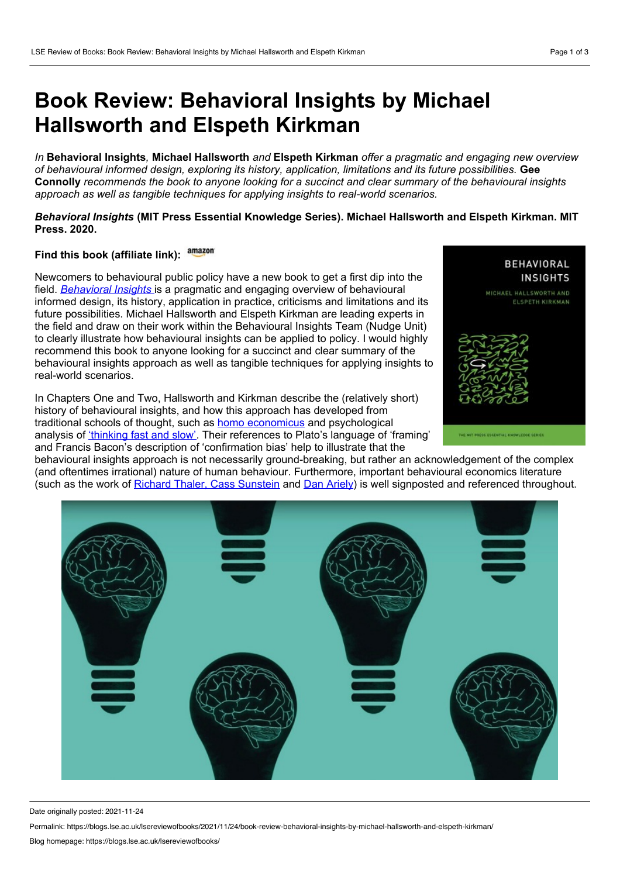## **Book Review: Behavioral Insights by Michael Hallsworth and Elspeth Kirkman**

*In* **Behavioral Insights***,* **Michael Hallsworth** *and* **Elspeth Kirkman** *offer a pragmatic and engaging new overview of behavioural informed design, exploring its history, application, limitations and its future possibilities.* **Gee** Connolly recommends the book to anyone looking for a succinct and clear summary of the behavioural insights *approach as well as tangible techniques for applying insights to real-world scenarios.*

## *Behavioral Insights* **(MIT Press Essential Knowledge Series). Michael Hallsworth and Elspeth Kirkman. MIT Press. 2020.**

## **Find this book (affiliate link):**

Newcomers to behavioural public policy have a new book to get a first dip into the field. *[Behavioral](https://mitpress.mit.edu/books/behavioral-insights) Insights* is a pragmatic and engaging overview of behavioural informed design, its history, application in practice, criticisms and limitations and its future possibilities. Michael Hallsworth and Elspeth Kirkman are leading experts in the field and draw on their work within the Behavioural Insights Team (Nudge Unit) to clearly illustrate how behavioural insights can be applied to policy. I would highly recommend this book to anyone looking for a succinct and clear summary of the behavioural insights approach as well as tangible techniques for applying insights to real-world scenarios.

In Chapters One and Two, Hallsworth and Kirkman describe the (relatively short) history of behavioural insights, and how this approach has developed from traditional schools of thought, such as homo [economicus](https://www.investopedia.com/terms/h/homoeconomicus.asp) and psychological analysis of ['thinking](https://blogs.lse.ac.uk/lsereviewofbooks/2012/09/04/book-review-thinking-fast-and-slow-by-daniel-kahneman/) fast and slow'. Their references to Plato's language of 'framing' and Francis Bacon's description of 'confirmation bias' help to illustrate that the



behavioural insights approach is not necessarily ground-breaking, but rather an acknowledgement of the complex (and oftentimes irrational) nature of human behaviour. Furthermore, important behavioural economics literature (such as the work of Richard Thaler, Cass [Sunstein](https://www.penguin.co.uk/books/56784/nudge/9780141999135.html) and Dan [Ariely](https://harpercollins.co.uk/products/predictably-irrational-the-hidden-forces-that-shape-our-decisions-dan-ariely)) is well signposted and referenced throughout.



Date originally posted: 2021-11-24

Permalink: https://blogs.lse.ac.uk/lsereviewofbooks/2021/11/24/book-review-behavioral-insights-by-michael-hallsworth-and-elspeth-kirkman/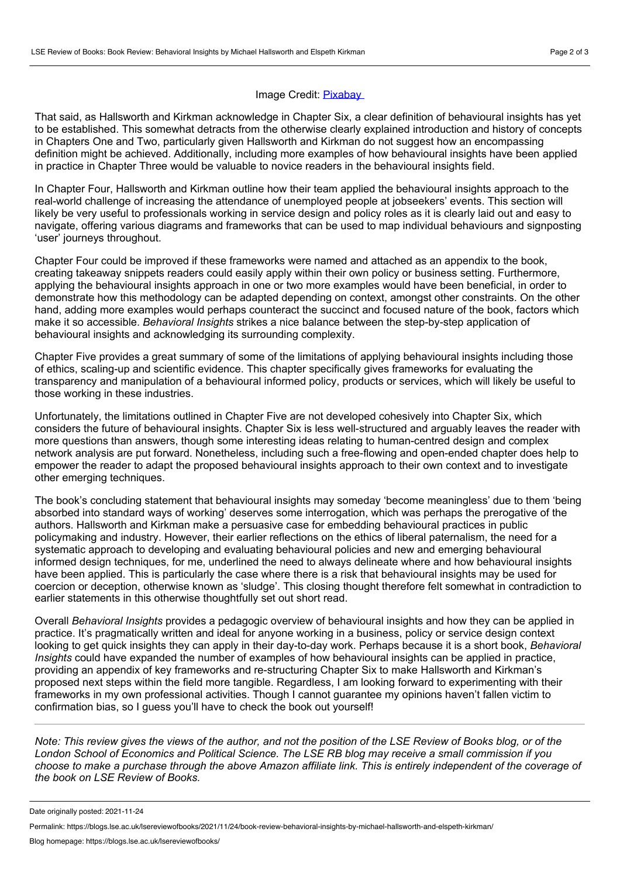## Image Credit: [Pixabay](https://pixabay.com/illustrations/brain-light-bulb-mind-mindset-5655155/)

That said, as Hallsworth and Kirkman acknowledge in Chapter Six, a clear definition of behavioural insights has yet to be established. This somewhat detracts from the otherwise clearly explained introduction and history of concepts in Chapters One and Two, particularly given Hallsworth and Kirkman do not suggest how an encompassing definition might be achieved. Additionally, including more examples of how behavioural insights have been applied in practice in Chapter Three would be valuable to novice readers in the behavioural insights field.

In Chapter Four, Hallsworth and Kirkman outline how their team applied the behavioural insights approach to the real-world challenge of increasing the attendance of unemployed people at jobseekers' events. This section will likely be very useful to professionals working in service design and policy roles as it is clearly laid out and easy to navigate, offering various diagrams and frameworks that can be used to map individual behaviours and signposting 'user' journeys throughout.

Chapter Four could be improved if these frameworks were named and attached as an appendix to the book, creating takeaway snippets readers could easily apply within their own policy or business setting. Furthermore, applying the behavioural insights approach in one or two more examples would have been beneficial, in order to demonstrate how this methodology can be adapted depending on context, amongst other constraints. On the other hand, adding more examples would perhaps counteract the succinct and focused nature of the book, factors which make it so accessible. *Behavioral Insights* strikes a nice balance between the step-by-step application of behavioural insights and acknowledging its surrounding complexity.

Chapter Five provides a great summary of some of the limitations of applying behavioural insights including those of ethics, scaling-up and scientific evidence. This chapter specifically gives frameworks for evaluating the transparency and manipulation of a behavioural informed policy, products or services, which will likely be useful to those working in these industries.

Unfortunately, the limitations outlined in Chapter Five are not developed cohesively into Chapter Six, which considers the future of behavioural insights. Chapter Six is less well-structured and arguably leaves the reader with more questions than answers, though some interesting ideas relating to human-centred design and complex network analysis are put forward. Nonetheless, including such a free-flowing and open-ended chapter does help to empower the reader to adapt the proposed behavioural insights approach to their own context and to investigate other emerging techniques.

The book's concluding statement that behavioural insights may someday 'become meaningless' due to them 'being absorbed into standard ways of working' deserves some interrogation, which was perhaps the prerogative of the authors. Hallsworth and Kirkman make a persuasive case for embedding behavioural practices in public policymaking and industry. However, their earlier reflections on the ethics of liberal paternalism, the need for a systematic approach to developing and evaluating behavioural policies and new and emerging behavioural informed design techniques, for me, underlined the need to always delineate where and how behavioural insights have been applied. This is particularly the case where there is a risk that behavioural insights may be used for coercion or deception, otherwise known as 'sludge'. This closing thought therefore felt somewhat in contradiction to earlier statements in this otherwise thoughtfully set out short read.

Overall *Behavioral Insights* provides a pedagogic overview of behavioural insights and how they can be applied in practice. It's pragmatically written and ideal for anyone working in a business, policy or service design context looking to get quick insights they can apply in their day-to-day work. Perhaps because it is a short book, *Behavioral Insights* could have expanded the number of examples of how behavioural insights can be applied in practice, providing an appendix of key frameworks and re-structuring Chapter Six to make Hallsworth and Kirkman's proposed next steps within the field more tangible. Regardless, I am looking forward to experimenting with their frameworks in my own professional activities. Though I cannot guarantee my opinions haven't fallen victim to confirmation bias, so I guess you'll have to check the book out yourself!

Note: This review gives the views of the author, and not the position of the LSE Review of Books blog, or of the London School of Economics and Political Science. The LSE RB blog may receive a small commission if you choose to make a purchase through the above Amazon affiliate link. This is entirely independent of the coverage of *the book on LSE Review of Books.*

Date originally posted: 2021-11-24

Permalink: https://blogs.lse.ac.uk/lsereviewofbooks/2021/11/24/book-review-behavioral-insights-by-michael-hallsworth-and-elspeth-kirkman/